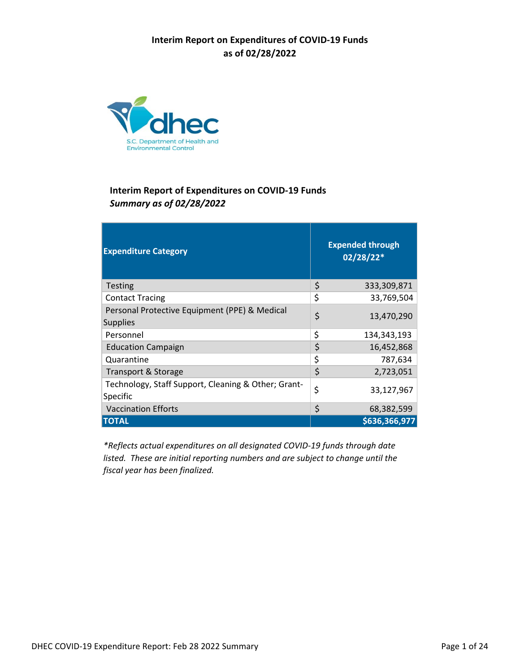

#### **Interim Report of Expenditures on COVID‐19 Funds** *Summary as of 02/28/2022*

| <b>Expenditure Category</b>                                      | <b>Expended through</b><br>02/28/22* |
|------------------------------------------------------------------|--------------------------------------|
| <b>Testing</b>                                                   | \$<br>333,309,871                    |
| <b>Contact Tracing</b>                                           | \$<br>33,769,504                     |
| Personal Protective Equipment (PPE) & Medical<br><b>Supplies</b> | \$<br>13,470,290                     |
| Personnel                                                        | \$<br>134,343,193                    |
| <b>Education Campaign</b>                                        | \$<br>16,452,868                     |
| Quarantine                                                       | \$<br>787,634                        |
| Transport & Storage                                              | \$<br>2,723,051                      |
| Technology, Staff Support, Cleaning & Other; Grant-<br>Specific  | \$<br>33,127,967                     |
| <b>Vaccination Efforts</b>                                       | \$<br>68,382,599                     |
| <b>TOTAL</b>                                                     | \$636,366,977                        |

*\*Reflects actual expenditures on all designated COVID‐19 funds through date listed. These are initial reporting numbers and are subject to change until the fiscal year has been finalized.*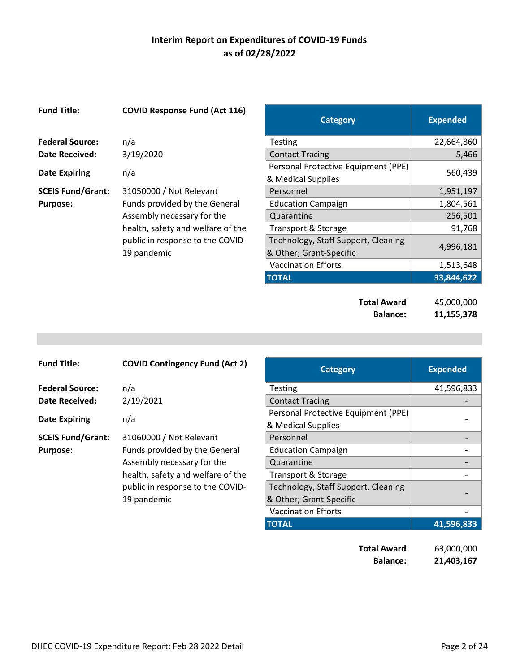| <b>Fund Title:</b>       | <b>COVID Response Fund (Act 116)</b>            | <b>Category</b>                                                | <b>Expended</b>          |
|--------------------------|-------------------------------------------------|----------------------------------------------------------------|--------------------------|
| <b>Federal Source:</b>   | n/a                                             | <b>Testing</b>                                                 | 22,664,860               |
| <b>Date Received:</b>    | 3/19/2020                                       | <b>Contact Tracing</b>                                         | 5,466                    |
| <b>Date Expiring</b>     | n/a                                             | Personal Protective Equipment (PPE)<br>& Medical Supplies      | 560,439                  |
| <b>SCEIS Fund/Grant:</b> | 31050000 / Not Relevant                         | Personnel                                                      | 1,951,197                |
| <b>Purpose:</b>          | Funds provided by the General                   | <b>Education Campaign</b>                                      | 1,804,561                |
|                          | Assembly necessary for the                      | Quarantine                                                     | 256,501                  |
|                          | health, safety and welfare of the               | Transport & Storage                                            | 91,768                   |
|                          | public in response to the COVID-<br>19 pandemic | Technology, Staff Support, Cleaning<br>& Other; Grant-Specific | 4,996,181                |
|                          |                                                 | <b>Vaccination Efforts</b>                                     | 1,513,648                |
|                          |                                                 | <b>TOTAL</b>                                                   | 33,844,622               |
|                          |                                                 | <b>Total Award</b><br><b>Balance:</b>                          | 45,000,000<br>11,155,378 |

| <b>Fund Title:</b>       | <b>COVID Contingency Fund (Act 2)</b> | <b>Category</b>                     | <b>Expended</b> |
|--------------------------|---------------------------------------|-------------------------------------|-----------------|
| <b>Federal Source:</b>   | n/a                                   | Testing                             | 41,596,833      |
| <b>Date Received:</b>    | 2/19/2021                             | <b>Contact Tracing</b>              |                 |
|                          | n/a                                   | Personal Protective Equipment (PPE) |                 |
| <b>Date Expiring</b>     |                                       | & Medical Supplies                  |                 |
| <b>SCEIS Fund/Grant:</b> | 31060000 / Not Relevant               | Personnel                           |                 |
| <b>Purpose:</b>          | Funds provided by the General         | <b>Education Campaign</b>           |                 |
|                          | Assembly necessary for the            | Quarantine                          |                 |
|                          | health, safety and welfare of the     | Transport & Storage                 |                 |
|                          | public in response to the COVID-      | Technology, Staff Support, Cleaning |                 |
|                          | 19 pandemic                           | & Other; Grant-Specific             |                 |
|                          |                                       | <b>Vaccination Efforts</b>          |                 |
|                          |                                       | <b>TOTAL</b>                        | 41,596,833      |

| <b>Total Award</b> | 63,000,000 |
|--------------------|------------|
| <b>Balance:</b>    | 21,403,167 |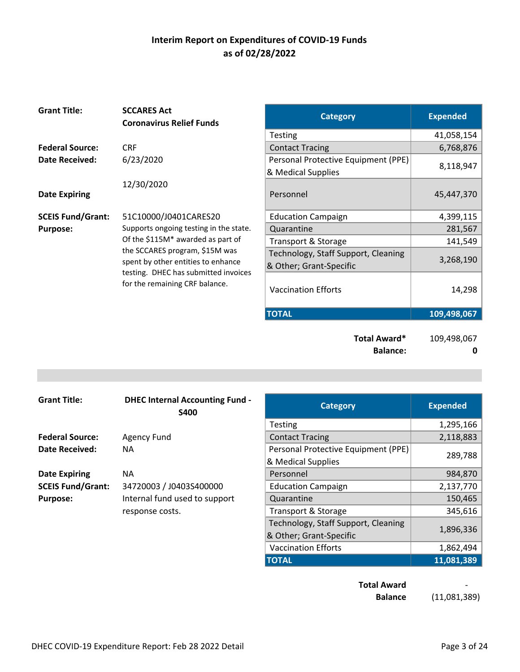| 41,058,154<br><b>Testing</b><br>6,768,876<br><b>Federal Source:</b><br><b>CRF</b><br><b>Contact Tracing</b><br>6/23/2020<br>Personal Protective Equipment (PPE)<br><b>Date Received:</b><br>8,118,947<br>& Medical Supplies<br>12/30/2020<br>Personnel<br>45,447,370<br><b>Date Expiring</b><br>4,399,115<br><b>SCEIS Fund/Grant:</b><br>51C10000/J0401CARES20<br><b>Education Campaign</b><br>Supports ongoing testing in the state.<br>281,567<br>Quarantine<br><b>Purpose:</b><br>Of the \$115M* awarded as part of<br>141,549<br><b>Transport &amp; Storage</b><br>the SCCARES program, \$15M was<br>Technology, Staff Support, Cleaning<br>3,268,190<br>spent by other entities to enhance<br>& Other; Grant-Specific<br>testing. DHEC has submitted invoices<br>for the remaining CRF balance.<br><b>Vaccination Efforts</b><br>14,298<br><b>TOTAL</b><br>109,498,067 | <b>Grant Title:</b> | <b>SCCARES Act</b><br><b>Coronavirus Relief Funds</b> | <b>Category</b> | <b>Expended</b> |
|-----------------------------------------------------------------------------------------------------------------------------------------------------------------------------------------------------------------------------------------------------------------------------------------------------------------------------------------------------------------------------------------------------------------------------------------------------------------------------------------------------------------------------------------------------------------------------------------------------------------------------------------------------------------------------------------------------------------------------------------------------------------------------------------------------------------------------------------------------------------------------|---------------------|-------------------------------------------------------|-----------------|-----------------|
|                                                                                                                                                                                                                                                                                                                                                                                                                                                                                                                                                                                                                                                                                                                                                                                                                                                                             |                     |                                                       |                 |                 |
|                                                                                                                                                                                                                                                                                                                                                                                                                                                                                                                                                                                                                                                                                                                                                                                                                                                                             |                     |                                                       |                 |                 |
|                                                                                                                                                                                                                                                                                                                                                                                                                                                                                                                                                                                                                                                                                                                                                                                                                                                                             |                     |                                                       |                 |                 |
|                                                                                                                                                                                                                                                                                                                                                                                                                                                                                                                                                                                                                                                                                                                                                                                                                                                                             |                     |                                                       |                 |                 |
|                                                                                                                                                                                                                                                                                                                                                                                                                                                                                                                                                                                                                                                                                                                                                                                                                                                                             |                     |                                                       |                 |                 |
|                                                                                                                                                                                                                                                                                                                                                                                                                                                                                                                                                                                                                                                                                                                                                                                                                                                                             |                     |                                                       |                 |                 |
|                                                                                                                                                                                                                                                                                                                                                                                                                                                                                                                                                                                                                                                                                                                                                                                                                                                                             |                     |                                                       |                 |                 |
|                                                                                                                                                                                                                                                                                                                                                                                                                                                                                                                                                                                                                                                                                                                                                                                                                                                                             |                     |                                                       |                 |                 |
|                                                                                                                                                                                                                                                                                                                                                                                                                                                                                                                                                                                                                                                                                                                                                                                                                                                                             |                     |                                                       |                 |                 |
|                                                                                                                                                                                                                                                                                                                                                                                                                                                                                                                                                                                                                                                                                                                                                                                                                                                                             |                     |                                                       |                 |                 |

**Total Award\*** 109,498,067 **Balance:** 0

| <b>Grant Title:</b>      | <b>DHEC Internal Accounting Fund -</b><br><b>S400</b> | <b>Category</b>                                                | <b>Expended</b> |
|--------------------------|-------------------------------------------------------|----------------------------------------------------------------|-----------------|
|                          |                                                       | <b>Testing</b>                                                 | 1,295,166       |
| <b>Federal Source:</b>   | <b>Agency Fund</b>                                    | <b>Contact Tracing</b>                                         | 2,118,883       |
| Date Received:           | NA.                                                   | Personal Protective Equipment (PPE)                            |                 |
|                          |                                                       | & Medical Supplies                                             | 289,788         |
| <b>Date Expiring</b>     | NA.                                                   | Personnel                                                      | 984,870         |
| <b>SCEIS Fund/Grant:</b> | 34720003 / J0403S400000                               | <b>Education Campaign</b>                                      | 2,137,770       |
| <b>Purpose:</b>          | Internal fund used to support                         | Quarantine                                                     | 150,465         |
|                          | response costs.                                       | Transport & Storage                                            | 345,616         |
|                          |                                                       | Technology, Staff Support, Cleaning<br>0 Othor: Cront Cnooific | 1,896,336       |

| <b>Accounting Fund -</b><br>S400 | <b>Category</b>                     | <b>Expended</b> |
|----------------------------------|-------------------------------------|-----------------|
|                                  | <b>Testing</b>                      | 1,295,166       |
|                                  | <b>Contact Tracing</b>              | 2,118,883       |
|                                  | Personal Protective Equipment (PPE) | 289,788         |
|                                  | & Medical Supplies                  |                 |
|                                  | Personnel                           | 984,870         |
| 103S400000                       | <b>Education Campaign</b>           | 2,137,770       |
| sed to support                   | Quarantine                          | 150,465         |
|                                  | Transport & Storage                 | 345,616         |
|                                  | Technology, Staff Support, Cleaning |                 |
|                                  | & Other; Grant-Specific             | 1,896,336       |
|                                  | <b>Vaccination Efforts</b>          | 1,862,494       |
|                                  | <b>TOTAL</b>                        | 11,081,389      |

**Total Award** 

**Balance** (11,081,389)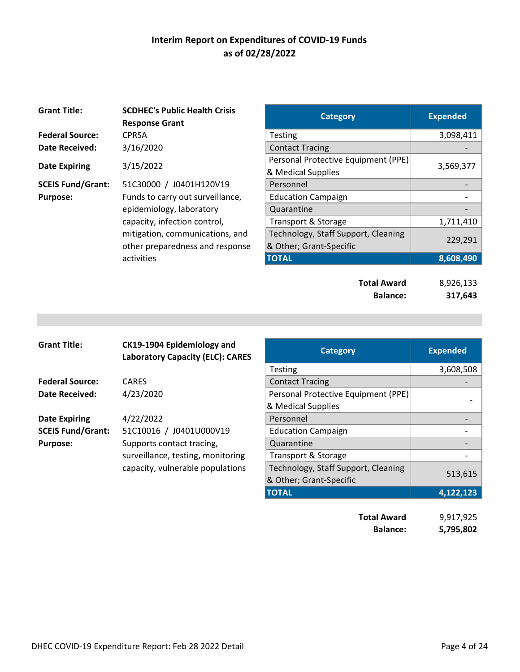| <b>Grant Title:</b>      | <b>SCDHEC's Public Health Crisis</b><br><b>Response Grant</b> | <b>Category</b>                     | <b>Expended</b> |
|--------------------------|---------------------------------------------------------------|-------------------------------------|-----------------|
| <b>Federal Source:</b>   | <b>CPRSA</b>                                                  | <b>Testing</b>                      | 3,098,411       |
| Date Received:           | 3/16/2020                                                     | <b>Contact Tracing</b>              |                 |
|                          |                                                               | Personal Protective Equipment (PPE) |                 |
| <b>Date Expiring</b>     | 3/15/2022                                                     | & Medical Supplies                  | 3,569,377       |
| <b>SCEIS Fund/Grant:</b> | 51C30000 / J0401H120V19                                       | Personnel                           |                 |
| <b>Purpose:</b>          | Funds to carry out surveillance,                              | <b>Education Campaign</b>           |                 |
|                          | epidemiology, laboratory                                      | Quarantine                          |                 |
|                          | capacity, infection control,                                  | Transport & Storage                 | 1,711,410       |
|                          | mitigation, communications, and                               | Technology, Staff Support, Cleaning |                 |
|                          | other preparedness and response                               | & Other; Grant-Specific             | 229,291         |
|                          | activities                                                    | <b>TOTAL</b>                        | 8,608,490       |

| <b>SCDHEC's Public Health Crisis</b><br><b>Response Grant</b> | <b>Category</b>                     | <b>Expended</b> |
|---------------------------------------------------------------|-------------------------------------|-----------------|
| CPRSA                                                         | <b>Testing</b>                      | 3,098,411       |
| 3/16/2020                                                     | <b>Contact Tracing</b>              |                 |
| 3/15/2022                                                     | Personal Protective Equipment (PPE) | 3,569,377       |
|                                                               | & Medical Supplies                  |                 |
| 51C30000 / J0401H120V19                                       | Personnel                           |                 |
| Funds to carry out surveillance,                              | <b>Education Campaign</b>           |                 |
| epidemiology, laboratory                                      | Quarantine                          |                 |
| capacity, infection control,                                  | Transport & Storage                 | 1,711,410       |
| mitigation, communications, and                               | Technology, Staff Support, Cleaning | 229,291         |
| other preparedness and response                               | & Other; Grant-Specific             |                 |
| activities                                                    | <b>TOTAL</b>                        | 8,608,490       |
|                                                               |                                     |                 |

| <b>Total Award</b> | 8,926,133 |
|--------------------|-----------|
| <b>Balance:</b>    | 317,643   |

| <b>Grant Title:</b>      | CK19-1904 Epidemiology and<br><b>Laboratory Capacity (ELC): CARES</b> | <b>Category</b>                     | <b>Expended</b> |
|--------------------------|-----------------------------------------------------------------------|-------------------------------------|-----------------|
|                          |                                                                       | <b>Testing</b>                      | 3,608,5         |
| <b>Federal Source:</b>   | <b>CARES</b>                                                          | <b>Contact Tracing</b>              |                 |
| Date Received:           | 4/23/2020                                                             | Personal Protective Equipment (PPE) |                 |
|                          |                                                                       | & Medical Supplies                  |                 |
| <b>Date Expiring</b>     | 4/22/2022                                                             | Personnel                           |                 |
| <b>SCEIS Fund/Grant:</b> | 51C10016 / J0401U000V19                                               | <b>Education Campaign</b>           |                 |
| <b>Purpose:</b>          | Supports contact tracing,                                             | Quarantine                          |                 |
|                          | surveillance, testing, monitoring                                     | Transport & Storage                 |                 |
|                          | capacity, vulnerable populations                                      | Technology, Staff Support, Cleaning |                 |
|                          |                                                                       | & Other; Grant-Specific             | 513,6           |

| CK19-1904 Epidemiology and<br><b>Laboratory Capacity (ELC): CARES</b> | <b>Category</b>                     | <b>Expended</b> |
|-----------------------------------------------------------------------|-------------------------------------|-----------------|
|                                                                       | <b>Testing</b>                      | 3,608,508       |
| CARES                                                                 | <b>Contact Tracing</b>              |                 |
| 4/23/2020                                                             | Personal Protective Equipment (PPE) |                 |
|                                                                       | & Medical Supplies                  |                 |
| 4/22/2022                                                             | Personnel                           |                 |
| 51C10016 / J0401U000V19                                               | <b>Education Campaign</b>           |                 |
| Supports contact tracing,                                             | Quarantine                          |                 |
| surveillance, testing, monitoring                                     | Transport & Storage                 |                 |
| capacity, vulnerable populations                                      | Technology, Staff Support, Cleaning |                 |
|                                                                       | & Other; Grant-Specific             | 513,615         |
|                                                                       | <b>TOTAL</b>                        | 4,122,123       |
|                                                                       | <b>Total Award</b>                  | 9,917,925       |
|                                                                       |                                     |                 |

**Balance: 5,795,802**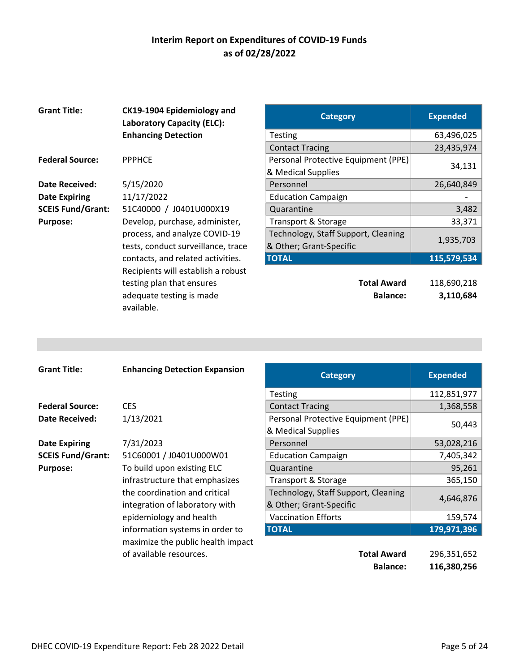| <b>Grant Title:</b>      | CK19-1904 Epidemiology and<br><b>Laboratory Capacity (ELC):</b> | <b>Category</b>                     | <b>Expended</b> |
|--------------------------|-----------------------------------------------------------------|-------------------------------------|-----------------|
|                          | <b>Enhancing Detection</b>                                      | <b>Testing</b>                      | 63,496,025      |
|                          |                                                                 | <b>Contact Tracing</b>              | 23,435,974      |
| <b>Federal Source:</b>   | <b>PPPHCE</b>                                                   | Personal Protective Equipment (PPE) |                 |
|                          |                                                                 | & Medical Supplies                  | 34,131          |
| Date Received:           | 5/15/2020                                                       | Personnel                           | 26,640,849      |
| <b>Date Expiring</b>     | 11/17/2022                                                      | <b>Education Campaign</b>           |                 |
| <b>SCEIS Fund/Grant:</b> | 51C40000 / J0401U000X19                                         | Quarantine                          | 3,482           |
| <b>Purpose:</b>          | Develop, purchase, administer,                                  | Transport & Storage                 | 33,371          |
|                          | process, and analyze COVID-19                                   | Technology, Staff Support, Cleaning |                 |
|                          | tests, conduct surveillance, trace                              | & Other; Grant-Specific             | 1,935,703       |
|                          | contacts, and related activities.                               | <b>TOTAL</b>                        | 115,579,534     |
|                          | Recipients will establish a robust                              |                                     |                 |
|                          | testing plan that ensures                                       | <b>Total Award</b>                  | 118,690,218     |
|                          | adequate testing is made                                        | <b>Balance:</b>                     | 3,110,684       |
|                          | available.                                                      |                                     |                 |

| <b>Category</b>                                                | <b>Expended</b> |  |
|----------------------------------------------------------------|-----------------|--|
| Testing                                                        | 63,496,025      |  |
| <b>Contact Tracing</b>                                         | 23,435,974      |  |
| Personal Protective Equipment (PPE)<br>& Medical Supplies      | 34,131          |  |
| Personnel                                                      | 26,640,849      |  |
| <b>Education Campaign</b>                                      |                 |  |
| Quarantine                                                     | 3,482           |  |
| Transport & Storage                                            | 33,371          |  |
| Technology, Staff Support, Cleaning<br>& Other; Grant-Specific | 1,935,703       |  |
| <b>TOTAL</b>                                                   | 115,579,534     |  |
|                                                                |                 |  |

| <b>Total Award</b> | 118,690,218 |
|--------------------|-------------|
| <b>Balance:</b>    | 3,110,684   |

| <b>Grant Title:</b>      | <b>Enhancing Detection Expansion</b> | <b>Category</b>                     | <b>Expended</b> |
|--------------------------|--------------------------------------|-------------------------------------|-----------------|
|                          |                                      | <b>Testing</b>                      | 112,851,977     |
| <b>Federal Source:</b>   | <b>CES</b>                           | <b>Contact Tracing</b>              | 1,368,558       |
| Date Received:           | 1/13/2021                            | Personal Protective Equipment (PPE) |                 |
|                          |                                      | & Medical Supplies                  | 50,443          |
| <b>Date Expiring</b>     | 7/31/2023                            | Personnel                           | 53,028,216      |
| <b>SCEIS Fund/Grant:</b> | 51C60001 / J0401U000W01              | <b>Education Campaign</b>           | 7,405,342       |
| <b>Purpose:</b>          | To build upon existing ELC           | Quarantine                          | 95,261          |
|                          | infrastructure that emphasizes       | Transport & Storage                 | 365,150         |
|                          | the coordination and critical        | Technology, Staff Support, Cleaning |                 |
|                          | integration of laboratory with       | & Other; Grant-Specific             | 4,646,876       |
|                          | epidemiology and health              | <b>Vaccination Efforts</b>          | 159,574         |
|                          | information systems in order to      | <b>TOTAL</b>                        | 179,971,396     |
|                          | maximize the public health impact    |                                     |                 |
|                          | of available resources.              | <b>Total Award</b>                  | 296,351,652     |
|                          |                                      | <b>Balance:</b>                     | 116,380,256     |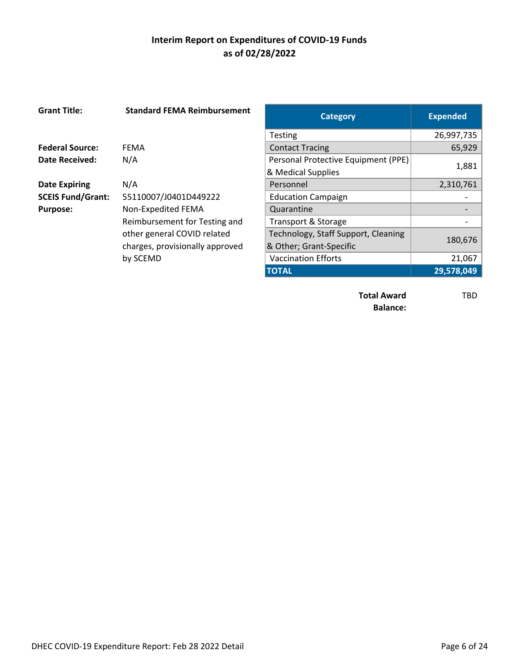| <b>Grant Title:</b>      | <b>Standard FEMA Reimbursement</b> | <b>Category</b>                     | <b>Expended</b> |
|--------------------------|------------------------------------|-------------------------------------|-----------------|
|                          |                                    | <b>Testing</b>                      | 26,997,735      |
| <b>Federal Source:</b>   | <b>FEMA</b>                        | <b>Contact Tracing</b>              | 65,929          |
| Date Received:           | N/A                                | Personal Protective Equipment (PPE) |                 |
|                          |                                    | & Medical Supplies                  | 1,881           |
| <b>Date Expiring</b>     | N/A                                | Personnel                           | 2,310,761       |
| <b>SCEIS Fund/Grant:</b> | 55110007/J0401D449222              | <b>Education Campaign</b>           |                 |
| <b>Purpose:</b>          | Non-Expedited FEMA                 | Quarantine                          |                 |
|                          | Reimbursement for Testing and      | Transport & Storage                 |                 |
|                          | other general COVID related        | Technology, Staff Support, Cleaning | 180,676         |
|                          | charges, provisionally approved    | & Other; Grant-Specific             |                 |
|                          | by SCEMD                           | <b>Vaccination Efforts</b>          | 21,067          |
|                          |                                    | -----                               | ------          |

| <b>Standard FEMA Reimbursement</b>                | <b>Category</b>                     | <b>Expended</b> |
|---------------------------------------------------|-------------------------------------|-----------------|
|                                                   | <b>Testing</b>                      | 26,997,735      |
| EMA                                               | <b>Contact Tracing</b>              | 65,929          |
| ۱/A                                               | Personal Protective Equipment (PPE) | 1,881           |
|                                                   | & Medical Supplies                  |                 |
| ۱/A<br>Personnel                                  |                                     | 2,310,761       |
| 5110007/J0401D449222<br><b>Education Campaign</b> |                                     |                 |
| <b>Jon-Expedited FEMA</b>                         | Quarantine                          |                 |
| eimbursement for Testing and                      | Transport & Storage                 |                 |
| ther general COVID related                        | Technology, Staff Support, Cleaning | 180,676         |
| harges, provisionally approved                    | & Other; Grant-Specific             |                 |
| y SCEMD                                           | <b>Vaccination Efforts</b>          | 21,067          |
|                                                   | <b>TOTAL</b>                        | 29,578,049      |
|                                                   |                                     |                 |

**Total Award** TBD **Balance:**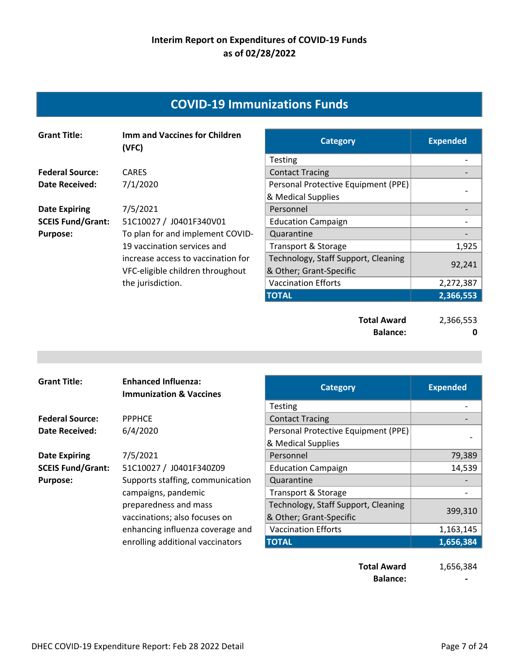# **COVID‐19 Immunizations Funds**

| <b>Grant Title:</b>      | <b>Imm and Vaccines for Children</b><br>(VFC) | <b>Category</b>                     | <b>Expended</b> |
|--------------------------|-----------------------------------------------|-------------------------------------|-----------------|
|                          |                                               | <b>Testing</b>                      |                 |
| <b>Federal Source:</b>   | <b>CARES</b>                                  | <b>Contact Tracing</b>              |                 |
| <b>Date Received:</b>    | 7/1/2020                                      | Personal Protective Equipment (PPE) |                 |
|                          |                                               | & Medical Supplies                  |                 |
| <b>Date Expiring</b>     | 7/5/2021                                      | Personnel                           |                 |
| <b>SCEIS Fund/Grant:</b> | 51C10027 / J0401F340V01                       | <b>Education Campaign</b>           |                 |
| <b>Purpose:</b>          | To plan for and implement COVID-              | Quarantine                          |                 |
|                          | 19 vaccination services and                   | Transport & Storage                 | 1,925           |
|                          | increase access to vaccination for            | Technology, Staff Support, Cleaning |                 |
|                          | VFC-eligible children throughout              | & Other; Grant-Specific             | 92,241          |
|                          | the jurisdiction.                             | <b>Vaccination Efforts</b>          | 2,272,387       |
|                          |                                               | <b>TOTAL</b>                        | 2,366,553       |
|                          |                                               |                                     |                 |

**Total Award** 2,366,553 **Balance:** 0

| <b>Grant Title:</b>      | <b>Enhanced Influenza:</b><br><b>Immunization &amp; Vaccines</b> | <b>Category</b>                     | <b>Expended</b> |
|--------------------------|------------------------------------------------------------------|-------------------------------------|-----------------|
|                          |                                                                  | <b>Testing</b>                      |                 |
| <b>Federal Source:</b>   | <b>PPPHCE</b>                                                    | <b>Contact Tracing</b>              |                 |
| Date Received:           | 6/4/2020                                                         | Personal Protective Equipment (PPE) |                 |
|                          |                                                                  | & Medical Supplies                  |                 |
| <b>Date Expiring</b>     | 7/5/2021                                                         | Personnel                           | 79,389          |
| <b>SCEIS Fund/Grant:</b> | 51C10027 / J0401F340Z09                                          | <b>Education Campaign</b>           | 14,539          |
| <b>Purpose:</b>          | Supports staffing, communication                                 | Quarantine                          |                 |
|                          | campaigns, pandemic                                              | Transport & Storage                 |                 |
|                          | preparedness and mass                                            | Technology, Staff Support, Cleaning |                 |
|                          | vaccinations; also focuses on                                    | & Other; Grant-Specific             | 399,310         |
|                          | enhancing influenza coverage and                                 | <b>Vaccination Efforts</b>          | 1,163,145       |
|                          | enrolling additional vaccinators                                 | <b>TOTAL</b>                        | 1,656,384       |
|                          |                                                                  |                                     |                 |

**Total Award** 1,656,384 **Balance: 1999**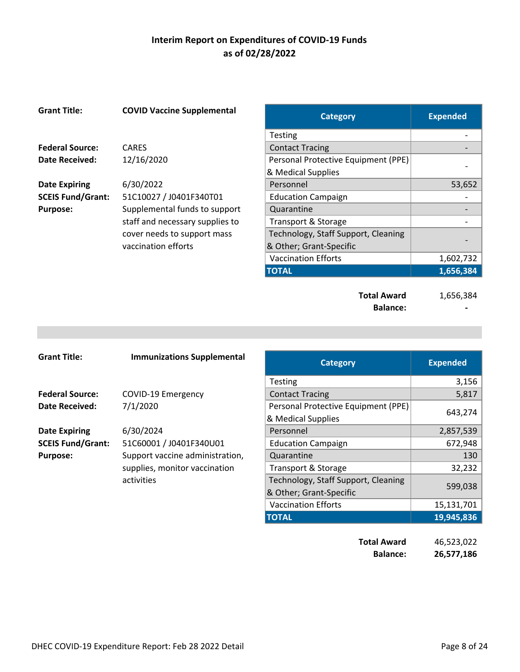| <b>COVID Vaccine Supplement</b> |
|---------------------------------|
|                                 |

| <b>Grant Title:</b>      | <b>COVID Vaccine Supplemental</b> | <b>Category</b>                     | <b>Expended</b> |
|--------------------------|-----------------------------------|-------------------------------------|-----------------|
|                          |                                   | <b>Testing</b>                      |                 |
| <b>Federal Source:</b>   | <b>CARES</b>                      | <b>Contact Tracing</b>              |                 |
| Date Received:           | 12/16/2020                        | Personal Protective Equipment (PPE) |                 |
|                          |                                   | & Medical Supplies                  |                 |
| <b>Date Expiring</b>     | 6/30/2022                         | Personnel                           | 53,652          |
| <b>SCEIS Fund/Grant:</b> | 51C10027 / J0401F340T01           | <b>Education Campaign</b>           |                 |
| <b>Purpose:</b>          | Supplemental funds to support     | Quarantine                          |                 |
|                          | staff and necessary supplies to   | Transport & Storage                 |                 |
|                          | cover needs to support mass       | Technology, Staff Support, Cleaning |                 |
|                          | vaccination efforts               | & Other; Grant-Specific             |                 |
|                          |                                   | <b>Vaccination Efforts</b>          | 1,602,732       |
|                          |                                   | <b>TOTAL</b>                        | 1,656,384       |
|                          |                                   |                                     |                 |

**Total Award** 1,656,384 **Balance: ‐** 

| <b>Grant Title:</b>      | <b>Immunizations Supplemental</b> | <b>Category</b>                     | <b>Expended</b> |
|--------------------------|-----------------------------------|-------------------------------------|-----------------|
|                          |                                   | <b>Testing</b>                      | 3,156           |
| <b>Federal Source:</b>   | <b>COVID-19 Emergency</b>         | <b>Contact Tracing</b>              | 5,817           |
| <b>Date Received:</b>    | 7/1/2020                          | Personal Protective Equipment (PPE) |                 |
|                          |                                   | & Medical Supplies                  | 643,274         |
| <b>Date Expiring</b>     | 6/30/2024                         | Personnel                           | 2,857,539       |
| <b>SCEIS Fund/Grant:</b> | 51C60001 / J0401F340U01           | <b>Education Campaign</b>           | 672,948         |
| <b>Purpose:</b>          | Support vaccine administration,   | Quarantine                          | 130             |
|                          | supplies, monitor vaccination     | Transport & Storage                 | 32,232          |
|                          | activities                        | Technology, Staff Support, Cleaning |                 |
|                          |                                   | & Other; Grant-Specific             | 599,038         |
|                          |                                   | <b>Vaccination Efforts</b>          | 15,131,701      |
|                          |                                   | <b>TOTAL</b>                        | 19,945,836      |

**Total Award** 46,523,022 **Balance: 26,577,186**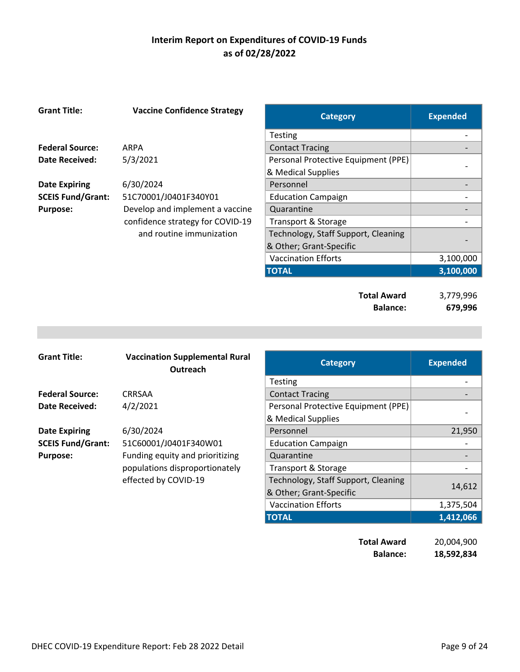| <b>Grant Title:</b>      | <b>Vaccine Confidence Strategy</b> | <b>Category</b>                     | <b>Expended</b> |
|--------------------------|------------------------------------|-------------------------------------|-----------------|
|                          |                                    | <b>Testing</b>                      |                 |
| <b>Federal Source:</b>   | ARPA                               | <b>Contact Tracing</b>              |                 |
| <b>Date Received:</b>    | 5/3/2021                           | Personal Protective Equipment (PPE) |                 |
|                          |                                    | & Medical Supplies                  |                 |
| <b>Date Expiring</b>     | 6/30/2024                          | Personnel                           |                 |
| <b>SCEIS Fund/Grant:</b> | 51C70001/J0401F340Y01              | <b>Education Campaign</b>           |                 |
| <b>Purpose:</b>          | Develop and implement a vaccine    | Quarantine                          |                 |
|                          | confidence strategy for COVID-19   | Transport & Storage                 |                 |
|                          | and routine immunization           | Technology, Staff Support, Cleaning |                 |
|                          |                                    | & Other; Grant-Specific             |                 |
|                          |                                    | <b>Vaccination Efforts</b>          | 3,100,000       |
|                          |                                    | <b>TOTAL</b>                        | 3,100,000       |
|                          |                                    |                                     |                 |
|                          |                                    | <b>Total Award</b>                  | 3,779,996       |
|                          |                                    | <b>Balance:</b>                     | 679,996         |

| <b>Grant Title:</b>      | <b>Vaccination Supplemental Rural</b><br>Outreach | <b>Category</b>                     | <b>Expended</b> |
|--------------------------|---------------------------------------------------|-------------------------------------|-----------------|
|                          |                                                   | <b>Testing</b>                      |                 |
| <b>Federal Source:</b>   | <b>CRRSAA</b>                                     | <b>Contact Tracing</b>              |                 |
| Date Received:           | 4/2/2021                                          | Personal Protective Equipment (PPE) |                 |
|                          |                                                   | & Medical Supplies                  |                 |
| <b>Date Expiring</b>     | 6/30/2024                                         | Personnel                           | 21,950          |
| <b>SCEIS Fund/Grant:</b> | 51C60001/J0401F340W01                             | <b>Education Campaign</b>           |                 |
| <b>Purpose:</b>          | Funding equity and prioritizing                   | Quarantine                          |                 |
|                          | populations disproportionately                    | Transport & Storage                 |                 |
|                          | effected by COVID-19                              | Technology, Staff Support, Cleaning |                 |
|                          |                                                   | & Other; Grant-Specific             | 14,612          |
|                          |                                                   | <b>Vaccination Efforts</b>          | 1,375,504       |
|                          |                                                   | <b>TOTAL</b>                        | 1,412,066       |

| <b>Total Award</b> | 20,004,900 |
|--------------------|------------|
| <b>Balance:</b>    | 18,592,834 |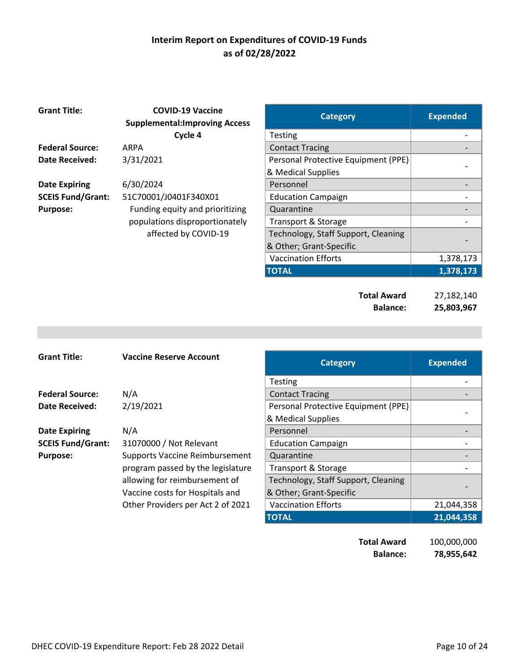| <b>Grant Title:</b>      | <b>COVID-19 Vaccine</b><br><b>Supplemental: Improving Access</b> | <b>Category</b>                     | <b>Expended</b> |
|--------------------------|------------------------------------------------------------------|-------------------------------------|-----------------|
|                          | Cycle 4                                                          | Testing                             |                 |
| <b>Federal Source:</b>   | ARPA                                                             | <b>Contact Tracing</b>              |                 |
| Date Received:           | 3/31/2021                                                        | Personal Protective Equipment (PPE) |                 |
|                          |                                                                  | & Medical Supplies                  |                 |
| <b>Date Expiring</b>     | 6/30/2024                                                        | Personnel                           |                 |
| <b>SCEIS Fund/Grant:</b> | 51C70001/J0401F340X01                                            | <b>Education Campaign</b>           |                 |
| <b>Purpose:</b>          | Funding equity and prioritizing                                  | Quarantine                          |                 |
|                          | populations disproportionately                                   | Transport & Storage                 |                 |
|                          | affected by COVID-19                                             | Technology, Staff Support, Cleaning |                 |
|                          |                                                                  | & Other; Grant-Specific             |                 |
|                          |                                                                  | $\cdots$ $\cdots$                   |                 |

| <b>Category</b>                     | <b>Expended</b>       |
|-------------------------------------|-----------------------|
| <b>Testing</b>                      |                       |
| <b>Contact Tracing</b>              |                       |
| Personal Protective Equipment (PPE) |                       |
| & Medical Supplies                  |                       |
| Personnel                           |                       |
| <b>Education Campaign</b>           |                       |
| Quarantine                          |                       |
| Transport & Storage                 |                       |
| Technology, Staff Support, Cleaning |                       |
| & Other; Grant-Specific             |                       |
| <b>Vaccination Efforts</b>          | 1,378,173             |
| <b>TOTAL</b>                        | 1,378,173             |
|                                     | . <i>.</i> . <i>.</i> |

**Total Award** 27,182,140 **Balance: 25,803,967** 

| <b>Grant Title:</b>      | <b>Vaccine Reserve Account</b>        | <b>Category</b>                     | <b>Expended</b> |
|--------------------------|---------------------------------------|-------------------------------------|-----------------|
|                          |                                       | <b>Testing</b>                      |                 |
| <b>Federal Source:</b>   | N/A                                   | <b>Contact Tracing</b>              |                 |
| Date Received:           | 2/19/2021                             | Personal Protective Equipment (PPE) |                 |
|                          |                                       | & Medical Supplies                  |                 |
| <b>Date Expiring</b>     | N/A                                   | Personnel                           |                 |
| <b>SCEIS Fund/Grant:</b> | 31070000 / Not Relevant               | <b>Education Campaign</b>           |                 |
| <b>Purpose:</b>          | <b>Supports Vaccine Reimbursement</b> | Quarantine                          |                 |
|                          | program passed by the legislature     | Transport & Storage                 |                 |
|                          | allowing for reimbursement of         | Technology, Staff Support, Cleaning |                 |
|                          | Vaccine costs for Hospitals and       | & Other; Grant-Specific             |                 |
|                          | Other Providers per Act 2 of 2021     | <b>Vaccination Efforts</b>          | 21,044,358      |
|                          |                                       | <b>TOTAL</b>                        | 21,044,358      |

**Total Award** 100,000,000 **Balance: 78,955,642**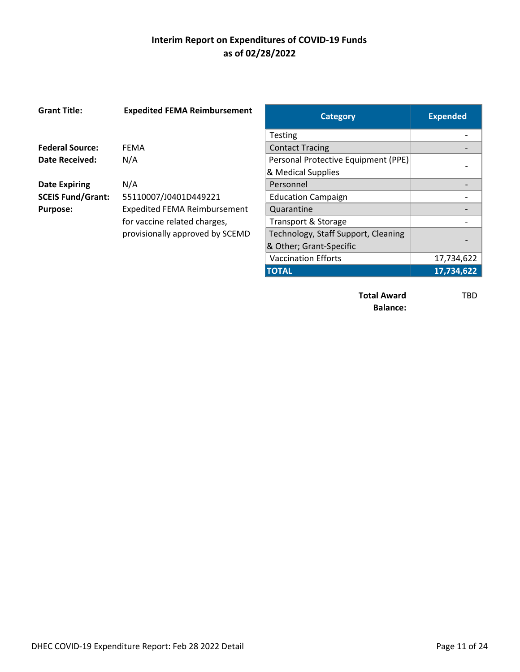| <b>Grant Title:</b>      | <b>Expedited FEMA Reimbursement</b> | <b>Category</b>                     | <b>Expended</b> |
|--------------------------|-------------------------------------|-------------------------------------|-----------------|
|                          |                                     | <b>Testing</b>                      |                 |
| <b>Federal Source:</b>   | FEMA                                | <b>Contact Tracing</b>              |                 |
| Date Received:           | N/A                                 | Personal Protective Equipment (PPE) |                 |
|                          |                                     | & Medical Supplies                  |                 |
| <b>Date Expiring</b>     | N/A                                 | Personnel                           |                 |
| <b>SCEIS Fund/Grant:</b> | 55110007/J0401D449221               | <b>Education Campaign</b>           |                 |
| <b>Purpose:</b>          | <b>Expedited FEMA Reimbursement</b> | Quarantine                          |                 |
|                          | for vaccine related charges,        | Transport & Storage                 |                 |
|                          | provisionally approved by SCEMD     | Technology, Staff Support, Cleaning |                 |
|                          |                                     | & Other; Grant-Specific             |                 |
|                          |                                     | <b>Vaccination Efforts</b>          | 17,734,6        |
|                          |                                     |                                     |                 |

| <b>Category</b>                     | <b>Expended</b> |
|-------------------------------------|-----------------|
| Testing                             |                 |
| <b>Contact Tracing</b>              |                 |
| Personal Protective Equipment (PPE) |                 |
| & Medical Supplies                  |                 |
| Personnel                           |                 |
| <b>Education Campaign</b>           |                 |
| Quarantine                          |                 |
| <b>Transport &amp; Storage</b>      |                 |
| Technology, Staff Support, Cleaning |                 |
| & Other; Grant-Specific             |                 |
| <b>Vaccination Efforts</b>          | 17,734,622      |
| <b>TOTAL</b>                        | 17,734,622      |
|                                     |                 |

**Total Award** TBD **Balance:**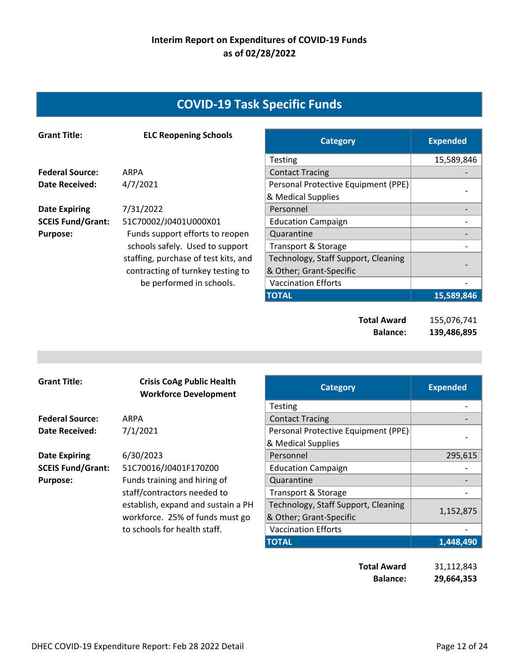# **COVID‐19 Task Specific Funds**

| <b>Grant Title:</b>      | <b>ELC Reopening Schools</b>         | <b>Category</b>                     | <b>Expended</b> |
|--------------------------|--------------------------------------|-------------------------------------|-----------------|
|                          |                                      | <b>Testing</b>                      | 15,589,846      |
| <b>Federal Source:</b>   | ARPA                                 | <b>Contact Tracing</b>              |                 |
| <b>Date Received:</b>    | 4/7/2021                             | Personal Protective Equipment (PPE) |                 |
|                          |                                      | & Medical Supplies                  |                 |
| <b>Date Expiring</b>     | 7/31/2022                            | Personnel                           |                 |
| <b>SCEIS Fund/Grant:</b> | 51C70002/J0401U000X01                | <b>Education Campaign</b>           |                 |
| <b>Purpose:</b>          | Funds support efforts to reopen      | Quarantine                          |                 |
|                          | schools safely. Used to support      | Transport & Storage                 |                 |
|                          | staffing, purchase of test kits, and | Technology, Staff Support, Cleaning |                 |
|                          | contracting of turnkey testing to    | & Other; Grant-Specific             |                 |
|                          | be performed in schools.             | <b>Vaccination Efforts</b>          |                 |
|                          |                                      | <b>TOTAL</b>                        | 15,589,846      |
|                          |                                      |                                     |                 |

**Total Award** 155,076,741

**Balance: 139,486,895** 

| <b>Grant Title:</b>      | <b>Crisis CoAg Public Health</b><br><b>Workforce Development</b> | <b>Category</b>                     | <b>Expended</b> |
|--------------------------|------------------------------------------------------------------|-------------------------------------|-----------------|
|                          |                                                                  | <b>Testing</b>                      |                 |
| <b>Federal Source:</b>   | ARPA                                                             | <b>Contact Tracing</b>              |                 |
| <b>Date Received:</b>    | 7/1/2021                                                         | Personal Protective Equipment (PPE) |                 |
|                          |                                                                  | & Medical Supplies                  |                 |
| <b>Date Expiring</b>     | 6/30/2023                                                        | Personnel                           | 295,615         |
| <b>SCEIS Fund/Grant:</b> | 51C70016/J0401F170Z00                                            | <b>Education Campaign</b>           |                 |
| <b>Purpose:</b>          | Funds training and hiring of                                     | Quarantine                          |                 |
|                          | staff/contractors needed to                                      | Transport & Storage                 |                 |
|                          | establish, expand and sustain a PH                               | Technology, Staff Support, Cleaning |                 |
|                          | workforce. 25% of funds must go                                  | & Other; Grant-Specific             | 1,152,875       |
|                          | to schools for health staff.                                     | <b>Vaccination Efforts</b>          |                 |
|                          |                                                                  | <b>TOTAL</b>                        | 1,448,490       |

**Total Award** 31,112,843 **Balance: 29,664,353**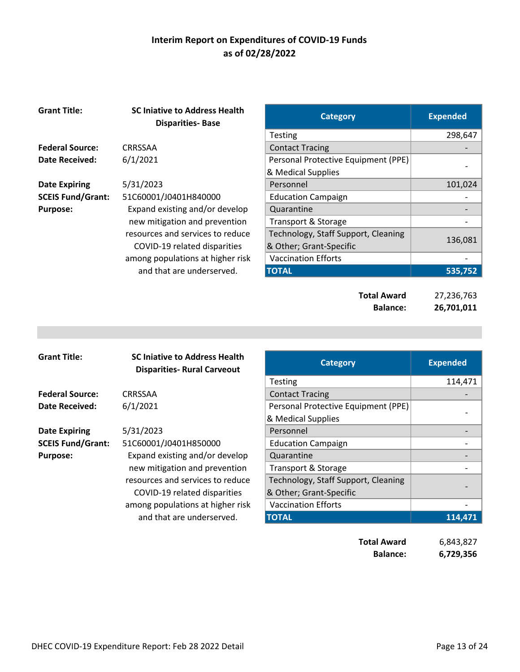| <b>Grant Title:</b>      | <b>SC Injative to Address Health</b><br><b>Disparities-Base</b> | <b>Category</b>                       | <b>Expended</b>          |
|--------------------------|-----------------------------------------------------------------|---------------------------------------|--------------------------|
|                          |                                                                 | <b>Testing</b>                        | 298,647                  |
| <b>Federal Source:</b>   | CRRSSAA                                                         | <b>Contact Tracing</b>                |                          |
| Date Received:           | 6/1/2021                                                        | Personal Protective Equipment (PPE)   |                          |
|                          |                                                                 | & Medical Supplies                    |                          |
| <b>Date Expiring</b>     | 5/31/2023                                                       | Personnel                             | 101,024                  |
| <b>SCEIS Fund/Grant:</b> | 51C60001/J0401H840000                                           | <b>Education Campaign</b>             |                          |
| <b>Purpose:</b>          | Expand existing and/or develop                                  | Quarantine                            |                          |
|                          | new mitigation and prevention                                   | Transport & Storage                   |                          |
|                          | resources and services to reduce                                | Technology, Staff Support, Cleaning   |                          |
|                          | COVID-19 related disparities                                    | & Other; Grant-Specific               | 136,081                  |
|                          | among populations at higher risk                                | <b>Vaccination Efforts</b>            |                          |
|                          | and that are underserved.                                       | <b>TOTAL</b>                          | 535,752                  |
|                          |                                                                 | <b>Total Award</b><br><b>Balance:</b> | 27,236,763<br>26,701,011 |

| <b>Grant Title:</b>      | <b>SC Injative to Address Health</b><br><b>Disparities- Rural Carveout</b> | <b>Category</b>                     | <b>Expended</b> |
|--------------------------|----------------------------------------------------------------------------|-------------------------------------|-----------------|
|                          |                                                                            | <b>Testing</b>                      | 114,4           |
| <b>Federal Source:</b>   | <b>CRRSSAA</b>                                                             | <b>Contact Tracing</b>              |                 |
| Date Received:           | 6/1/2021                                                                   | Personal Protective Equipment (PPE) |                 |
|                          |                                                                            | & Medical Supplies                  |                 |
| <b>Date Expiring</b>     | 5/31/2023                                                                  | Personnel                           |                 |
| <b>SCEIS Fund/Grant:</b> | 51C60001/J0401H850000                                                      | <b>Education Campaign</b>           |                 |
| <b>Purpose:</b>          | Expand existing and/or develop                                             | Quarantine                          |                 |
|                          | new mitigation and prevention                                              | Transport & Storage                 |                 |
|                          | resources and services to reduce                                           | Technology, Staff Support, Cleaning |                 |
|                          | COVID-19 related disparities                                               | & Other; Grant-Specific             |                 |
|                          | among populations at higher risk                                           | <b>Vaccination Efforts</b>          |                 |
|                          | and that are underserved.                                                  | <b>TOTAL</b>                        | 114,4           |

| <b>Total Award</b> | 6,843,827 |
|--------------------|-----------|
| <b>Balance:</b>    | 6,729,356 |

**114,471** 

114,471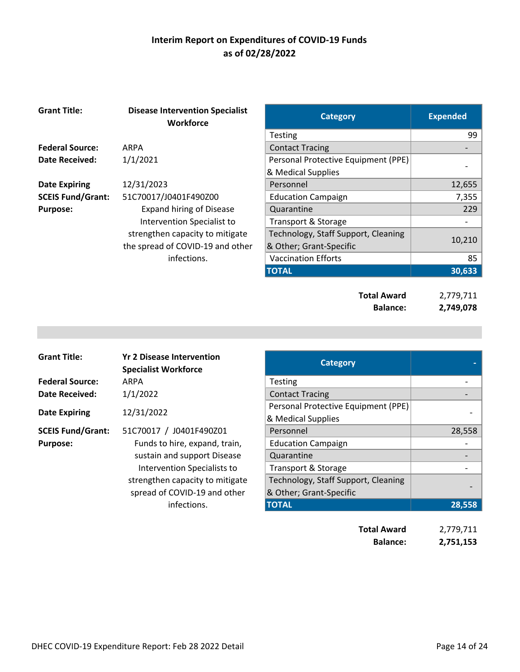| <b>Grant Title:</b>      | <b>Disease Intervention Specialist</b><br><b>Workforce</b> | <b>Category</b>                     | <b>Expended</b> |
|--------------------------|------------------------------------------------------------|-------------------------------------|-----------------|
|                          |                                                            | <b>Testing</b>                      | 99              |
| <b>Federal Source:</b>   | <b>ARPA</b>                                                | <b>Contact Tracing</b>              |                 |
| <b>Date Received:</b>    | 1/1/2021                                                   | Personal Protective Equipment (PPE) |                 |
|                          |                                                            | & Medical Supplies                  |                 |
| <b>Date Expiring</b>     | 12/31/2023                                                 | Personnel                           | 12,655          |
| <b>SCEIS Fund/Grant:</b> | 51C70017/J0401F490Z00                                      | <b>Education Campaign</b>           | 7,355           |
| <b>Purpose:</b>          | <b>Expand hiring of Disease</b>                            | Quarantine                          | 229             |
|                          | Intervention Specialist to                                 | Transport & Storage                 |                 |
|                          | strengthen capacity to mitigate                            | Technology, Staff Support, Cleaning |                 |
|                          | the spread of COVID-19 and other                           | & Other; Grant-Specific             | 10,210          |
|                          | infections.                                                | <b>Vaccination Efforts</b>          | 85              |
|                          |                                                            | <b>TOTAL</b>                        | 30,633          |
|                          |                                                            |                                     |                 |
|                          |                                                            | <b>Total Award</b>                  | 2,779,711       |
|                          |                                                            | <b>Balance:</b>                     | 2,749,078       |

| <b>Grant Title:</b>      | <b>Yr 2 Disease Intervention</b><br><b>Specialist Workforce</b> | <b>Category</b>                                           |        |
|--------------------------|-----------------------------------------------------------------|-----------------------------------------------------------|--------|
| <b>Federal Source:</b>   | ARPA                                                            | <b>Testing</b>                                            |        |
| Date Received:           | 1/1/2022                                                        | <b>Contact Tracing</b>                                    |        |
| <b>Date Expiring</b>     | 12/31/2022                                                      | Personal Protective Equipment (PPE)<br>& Medical Supplies |        |
| <b>SCEIS Fund/Grant:</b> | 51C70017 / J0401F490Z01                                         | Personnel                                                 | 28,558 |
| <b>Purpose:</b>          | Funds to hire, expand, train,                                   | <b>Education Campaign</b>                                 |        |
|                          | sustain and support Disease                                     | Quarantine                                                |        |
|                          | Intervention Specialists to                                     | Transport & Storage                                       |        |
|                          | strengthen capacity to mitigate                                 | Technology, Staff Support, Cleaning                       |        |
|                          | spread of COVID-19 and other                                    | & Other; Grant-Specific                                   |        |
|                          | infections.                                                     | <b>TOTAL</b>                                              | 28,558 |
|                          |                                                                 |                                                           |        |

**Total Award** 2,779,711 **Balance: 2,751,153**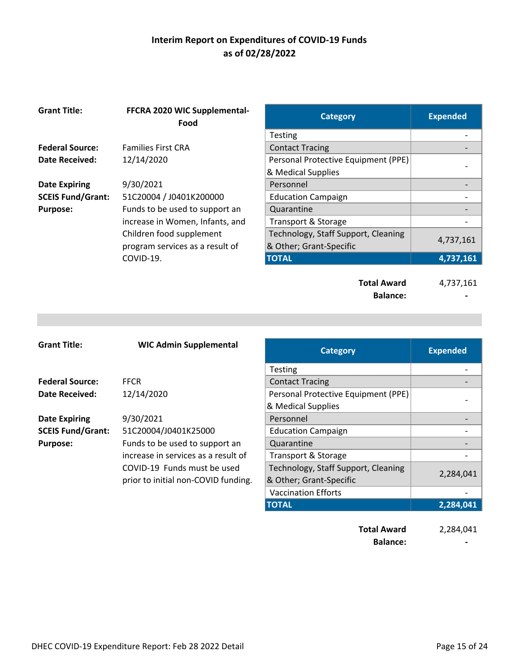| <b>Grant Title:</b>      | FFCRA 2020 WIC Supplemental-<br>Food | <b>Category</b>                     | <b>Expended</b> |
|--------------------------|--------------------------------------|-------------------------------------|-----------------|
|                          |                                      | <b>Testing</b>                      |                 |
| <b>Federal Source:</b>   | <b>Families First CRA</b>            | <b>Contact Tracing</b>              |                 |
| <b>Date Received:</b>    | 12/14/2020                           | Personal Protective Equipment (PPE) |                 |
|                          |                                      | & Medical Supplies                  |                 |
| <b>Date Expiring</b>     | 9/30/2021                            | Personnel                           |                 |
| <b>SCEIS Fund/Grant:</b> | 51C20004 / J0401K200000              | <b>Education Campaign</b>           |                 |
| <b>Purpose:</b>          | Funds to be used to support an       | Quarantine                          |                 |
|                          | increase in Women, Infants, and      | Transport & Storage                 |                 |
|                          | Children food supplement             | Technology, Staff Support, Cleaning |                 |
|                          | program services as a result of      | & Other; Grant-Specific             | 4,737,161       |
|                          | COVID-19.                            | <b>TOTAL</b>                        | 4,737,161       |
|                          |                                      |                                     |                 |
|                          |                                      | <b>Total Award</b>                  | 4,737,161       |
|                          |                                      | <b>Balance:</b>                     |                 |

| <b>Grant Title:</b>      | <b>WIC Admin Supplemental</b>       | <b>Category</b>                     | <b>Expended</b> |
|--------------------------|-------------------------------------|-------------------------------------|-----------------|
|                          |                                     | <b>Testing</b>                      |                 |
| <b>Federal Source:</b>   | <b>FFCR</b>                         | <b>Contact Tracing</b>              |                 |
| Date Received:           | 12/14/2020                          | Personal Protective Equipment (PPE) |                 |
|                          |                                     | & Medical Supplies                  |                 |
| <b>Date Expiring</b>     | 9/30/2021                           | Personnel                           |                 |
| <b>SCEIS Fund/Grant:</b> | 51C20004/J0401K25000                | <b>Education Campaign</b>           |                 |
| <b>Purpose:</b>          | Funds to be used to support an      | Quarantine                          |                 |
|                          | increase in services as a result of | <b>Transport &amp; Storage</b>      |                 |
|                          | COVID-19 Funds must be used         | Technology, Staff Support, Cleaning |                 |
|                          | prior to initial non-COVID funding. | & Other; Grant-Specific             | 2,284,041       |
|                          |                                     | <b>Vaccination Efforts</b>          |                 |
|                          |                                     | <b>TOTAL</b>                        | 2,284,041       |

**Total Award** 2,284,041 **Balance: 1999**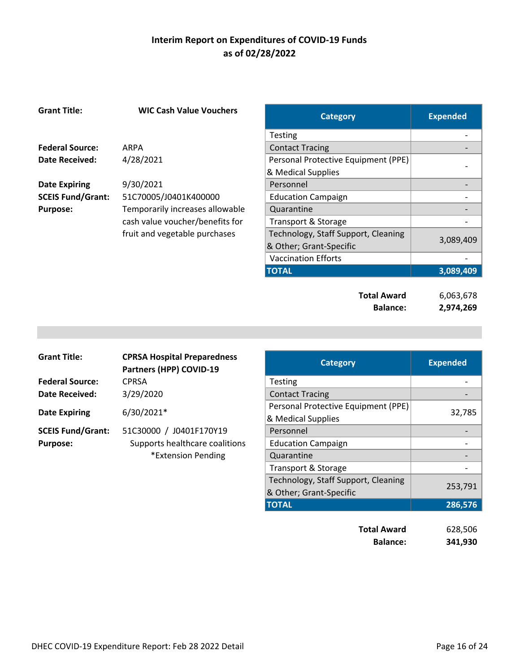| <b>Grant Title:</b>      | <b>WIC Cash Value Vouchers</b>  | <b>Category</b>                     | <b>Expended</b> |
|--------------------------|---------------------------------|-------------------------------------|-----------------|
|                          |                                 | <b>Testing</b>                      |                 |
| <b>Federal Source:</b>   | ARPA                            | <b>Contact Tracing</b>              |                 |
| <b>Date Received:</b>    | 4/28/2021                       | Personal Protective Equipment (PPE) |                 |
|                          |                                 | & Medical Supplies                  |                 |
| <b>Date Expiring</b>     | 9/30/2021                       | Personnel                           |                 |
| <b>SCEIS Fund/Grant:</b> | 51C70005/J0401K400000           | <b>Education Campaign</b>           |                 |
| <b>Purpose:</b>          | Temporarily increases allowable | Quarantine                          |                 |
|                          | cash value voucher/benefits for | <b>Transport &amp; Storage</b>      |                 |
|                          | fruit and vegetable purchases   | Technology, Staff Support, Cleaning |                 |
|                          |                                 | & Other; Grant-Specific             | 3,089,409       |
|                          |                                 | <b>Vaccination Efforts</b>          |                 |
|                          |                                 | <b>TOTAL</b>                        | 3,089,409       |
|                          |                                 |                                     |                 |
|                          |                                 | <b>Total Award</b>                  | 6,063,678       |
|                          |                                 | <b>Balance:</b>                     | 2,974,269       |

| <b>Grant Title:</b>      | <b>CPRSA Hospital Preparedness</b><br>Partners (HPP) COVID-19 | <b>Category</b>                                           | <b>Expended</b> |
|--------------------------|---------------------------------------------------------------|-----------------------------------------------------------|-----------------|
| <b>Federal Source:</b>   | <b>CPRSA</b>                                                  | <b>Testing</b>                                            |                 |
| Date Received:           | 3/29/2020                                                     | <b>Contact Tracing</b>                                    |                 |
| <b>Date Expiring</b>     | 6/30/2021*                                                    | Personal Protective Equipment (PPE)<br>& Medical Supplies | 32,785          |
| <b>SCEIS Fund/Grant:</b> | 51C30000 / J0401F170Y19                                       | Personnel                                                 |                 |
| <b>Purpose:</b>          | Supports healthcare coalitions                                | <b>Education Campaign</b>                                 |                 |
|                          | *Extension Pending                                            | Quarantine                                                |                 |
|                          |                                                               | <b>Transport &amp; Storage</b>                            |                 |
|                          |                                                               | Technology, Staff Support, Cleaning                       |                 |
|                          |                                                               | & Other; Grant-Specific                                   | 253,791         |
|                          |                                                               | <b>TOTAL</b>                                              | 286,576         |

| <b>Total Award</b> | 628,506 |
|--------------------|---------|
| <b>Balance:</b>    | 341,930 |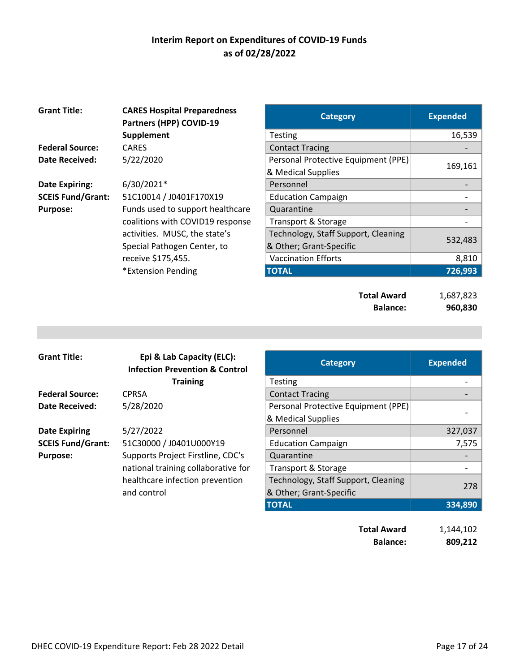| <b>Grant Title:</b>      | <b>CARES Hospital Preparedness</b><br>Partners (HPP) COVID-19 | <b>Category</b>                     | <b>Expended</b> |
|--------------------------|---------------------------------------------------------------|-------------------------------------|-----------------|
|                          | Supplement                                                    | <b>Testing</b>                      | 16,539          |
| <b>Federal Source:</b>   | <b>CARES</b>                                                  | <b>Contact Tracing</b>              |                 |
| Date Received:           | 5/22/2020                                                     | Personal Protective Equipment (PPE) |                 |
|                          |                                                               | & Medical Supplies                  | 169,161         |
| <b>Date Expiring:</b>    | 6/30/2021*                                                    | Personnel                           |                 |
| <b>SCEIS Fund/Grant:</b> | 51C10014 / J0401F170X19                                       | <b>Education Campaign</b>           |                 |
| <b>Purpose:</b>          | Funds used to support healthcare                              | Quarantine                          |                 |
|                          | coalitions with COVID19 response                              | Transport & Storage                 |                 |
|                          | activities. MUSC, the state's                                 | Technology, Staff Support, Cleaning |                 |
|                          | Special Pathogen Center, to                                   | & Other; Grant-Specific             | 532,483         |
|                          | receive \$175,455.                                            | <b>Vaccination Efforts</b>          | 8,810           |
|                          | *Extension Pending                                            | <b>TOTAL</b>                        | 726,993         |
|                          |                                                               |                                     |                 |
|                          |                                                               | <b>Total Award</b>                  | 1,687,823       |
|                          |                                                               | <b>Balance:</b>                     | 960,830         |

| <b>Grant Title:</b>      | Epi & Lab Capacity (ELC):<br><b>Infection Prevention &amp; Control</b> | <b>Category</b>                     | <b>Expended</b> |
|--------------------------|------------------------------------------------------------------------|-------------------------------------|-----------------|
|                          | <b>Training</b>                                                        | <b>Testing</b>                      |                 |
| <b>Federal Source:</b>   | <b>CPRSA</b>                                                           | <b>Contact Tracing</b>              |                 |
| <b>Date Received:</b>    | 5/28/2020                                                              | Personal Protective Equipment (PPE) |                 |
|                          |                                                                        | & Medical Supplies                  |                 |
| <b>Date Expiring</b>     | 5/27/2022                                                              | Personnel                           | 327,037         |
| <b>SCEIS Fund/Grant:</b> | 51C30000 / J0401U000Y19                                                | <b>Education Campaign</b>           | 7,575           |
| <b>Purpose:</b>          | Supports Project Firstline, CDC's                                      | Quarantine                          |                 |
|                          | national training collaborative for                                    | Transport & Storage                 |                 |
|                          | healthcare infection prevention                                        | Technology, Staff Support, Cleaning |                 |
|                          | and control                                                            | & Other; Grant-Specific             | 278             |
|                          |                                                                        | <b>TOTAL</b>                        | 334,890         |
|                          |                                                                        |                                     |                 |
|                          |                                                                        |                                     |                 |

**Total Award** 1,144,102 **Balance: 809,212**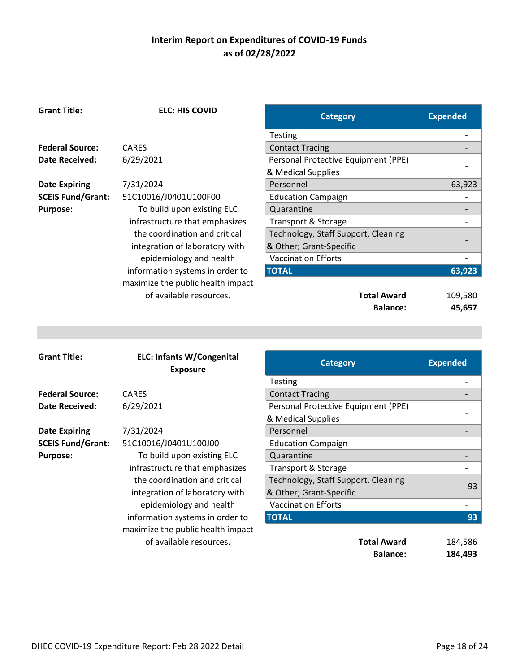| <b>Grant Title:</b>      | <b>ELC: HIS COVID</b>                                        | <b>Category</b>                     | <b>Expended</b>   |
|--------------------------|--------------------------------------------------------------|-------------------------------------|-------------------|
|                          |                                                              | Testing                             |                   |
| <b>Federal Source:</b>   | <b>CARES</b>                                                 | <b>Contact Tracing</b>              |                   |
| <b>Date Received:</b>    | 6/29/2021                                                    | Personal Protective Equipment (PPE) |                   |
|                          |                                                              | & Medical Supplies                  |                   |
| <b>Date Expiring</b>     | 7/31/2024                                                    | Personnel                           | 63,923            |
| <b>SCEIS Fund/Grant:</b> | 51C10016/J0401U100F00                                        | <b>Education Campaign</b>           |                   |
| <b>Purpose:</b>          | To build upon existing ELC                                   | Quarantine                          |                   |
|                          | infrastructure that emphasizes                               | <b>Transport &amp; Storage</b>      |                   |
|                          | the coordination and critical                                | Technology, Staff Support, Cleaning |                   |
|                          | integration of laboratory with                               | & Other; Grant-Specific             |                   |
|                          | epidemiology and health                                      | <b>Vaccination Efforts</b>          |                   |
|                          | information systems in order to                              | <b>TOTAL</b>                        | 63,923            |
|                          | maximize the public health impact                            |                                     |                   |
|                          | of available resources.                                      | <b>Total Award</b>                  | 109,580           |
|                          |                                                              | <b>Balance:</b>                     | 45,657            |
|                          |                                                              |                                     |                   |
|                          |                                                              |                                     |                   |
|                          |                                                              |                                     |                   |
| <b>Grant Title:</b>      | <b>ELC: Infants W/Congenital</b>                             | <b>Category</b>                     | <b>Expended</b>   |
|                          | <b>Exposure</b>                                              |                                     |                   |
|                          |                                                              | Testing                             |                   |
| <b>Federal Source:</b>   | <b>CARES</b>                                                 | <b>Contact Tracing</b>              |                   |
| <b>Date Received:</b>    | 6/29/2021                                                    | Personal Protective Equipment (PPE) |                   |
|                          |                                                              | & Medical Supplies                  |                   |
| <b>Date Expiring</b>     | 7/31/2024                                                    | Personnel                           |                   |
| <b>SCEIS Fund/Grant:</b> | 51C10016/J0401U100J00                                        | <b>Education Campaign</b>           | $\qquad \qquad -$ |
| <b>Purpose:</b>          | To build upon existing ELC                                   | Quarantine                          |                   |
|                          | infrastructure that emphasizes                               | <b>Transport &amp; Storage</b>      |                   |
|                          | the coordination and critical                                | Technology, Staff Support, Cleaning | 93                |
|                          | integration of laboratory with                               | & Other; Grant-Specific             |                   |
|                          | epidemiology and health                                      | <b>Vaccination Efforts</b>          |                   |
|                          | information systems in order to                              | <b>TOTAL</b>                        | 93                |
|                          | maximize the public health impact<br>of available resources. | <b>Total Award</b>                  | 184,586           |

**Grant Title:**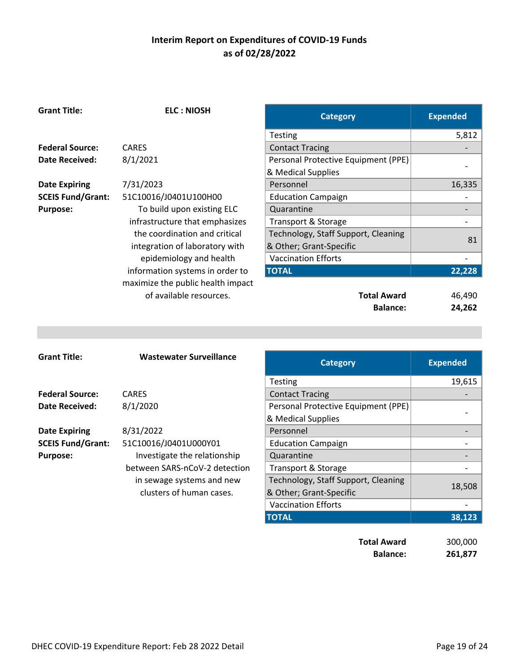| <b>Grant Title:</b>      | <b>ELC: NIOSH</b>                 | <b>Category</b>                     | <b>Expended</b> |
|--------------------------|-----------------------------------|-------------------------------------|-----------------|
|                          |                                   | <b>Testing</b>                      | 5,812           |
| <b>Federal Source:</b>   | <b>CARES</b>                      | <b>Contact Tracing</b>              |                 |
| Date Received:           | 8/1/2021                          | Personal Protective Equipment (PPE) |                 |
|                          |                                   | & Medical Supplies                  |                 |
| <b>Date Expiring</b>     | 7/31/2023                         | Personnel                           | 16,335          |
| <b>SCEIS Fund/Grant:</b> | 51C10016/J0401U100H00             | <b>Education Campaign</b>           |                 |
| <b>Purpose:</b>          | To build upon existing ELC        | Quarantine                          |                 |
|                          | infrastructure that emphasizes    | Transport & Storage                 |                 |
|                          | the coordination and critical     | Technology, Staff Support, Cleaning |                 |
|                          | integration of laboratory with    | & Other; Grant-Specific             | 81              |
|                          | epidemiology and health           | <b>Vaccination Efforts</b>          |                 |
|                          | information systems in order to   | <b>TOTAL</b>                        | 22,228          |
|                          | maximize the public health impact |                                     |                 |
|                          | of available resources.           | <b>Total Award</b>                  | 46,490          |
|                          |                                   | <b>Balance:</b>                     | 24,262          |
|                          |                                   |                                     |                 |
|                          |                                   |                                     |                 |
|                          |                                   |                                     |                 |
| <b>Grant Title:</b>      | <b>Wastewater Surveillance</b>    | <b>Category</b>                     | <b>Expended</b> |
|                          |                                   |                                     |                 |

| <b>Grant Title:</b>      | <b>Wastewater Surveillance</b>                        | <b>Category</b>                                                | <b>Expended</b> |
|--------------------------|-------------------------------------------------------|----------------------------------------------------------------|-----------------|
|                          |                                                       | <b>Testing</b>                                                 | 19,615          |
| <b>Federal Source:</b>   | <b>CARES</b>                                          | <b>Contact Tracing</b>                                         |                 |
| <b>Date Received:</b>    | 8/1/2020                                              | Personal Protective Equipment (PPE)<br>& Medical Supplies      |                 |
| <b>Date Expiring</b>     | 8/31/2022                                             | Personnel                                                      |                 |
| <b>SCEIS Fund/Grant:</b> | 51C10016/J0401U000Y01                                 | <b>Education Campaign</b>                                      |                 |
| <b>Purpose:</b>          | Investigate the relationship                          | Quarantine                                                     |                 |
|                          | between SARS-nCoV-2 detection                         | <b>Transport &amp; Storage</b>                                 |                 |
|                          | in sewage systems and new<br>clusters of human cases. | Technology, Staff Support, Cleaning<br>& Other; Grant-Specific | 18,508          |
|                          |                                                       | <b>Vaccination Efforts</b>                                     |                 |
|                          |                                                       | <b>TOTAL</b>                                                   | 38,123          |
|                          |                                                       | <b>Total Award</b>                                             | 300,000         |

**Balance: 261,877**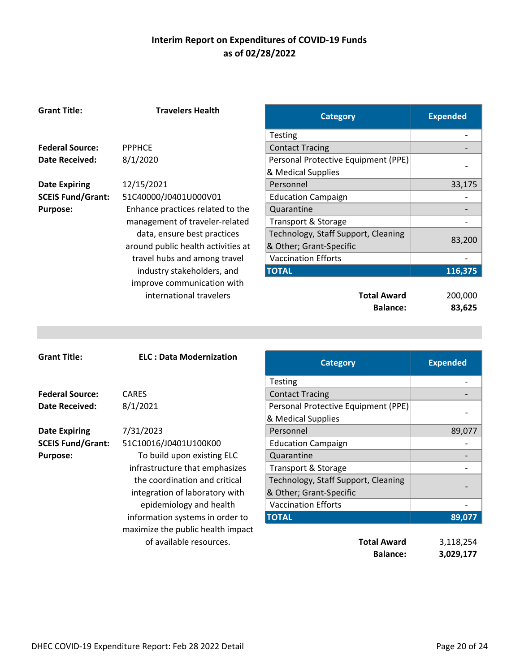**Travelers Health Category <b>Category**  Expenditure **Category**  Expenditure **Category** 

|                          |                                                                      | Calegui y                                             | cxpenueu                 |
|--------------------------|----------------------------------------------------------------------|-------------------------------------------------------|--------------------------|
|                          |                                                                      | Testing                                               |                          |
| <b>Federal Source:</b>   | <b>PPPHCE</b>                                                        | <b>Contact Tracing</b>                                |                          |
| <b>Date Received:</b>    | 8/1/2020                                                             | Personal Protective Equipment (PPE)                   |                          |
|                          |                                                                      | & Medical Supplies                                    |                          |
| <b>Date Expiring</b>     | 12/15/2021                                                           | Personnel                                             | 33,175                   |
| <b>SCEIS Fund/Grant:</b> | 51C40000/J0401U000V01                                                | <b>Education Campaign</b>                             |                          |
| <b>Purpose:</b>          | Enhance practices related to the                                     | Quarantine                                            |                          |
|                          | management of traveler-related                                       | Transport & Storage                                   |                          |
|                          | data, ensure best practices                                          | Technology, Staff Support, Cleaning                   | 83,200                   |
|                          | around public health activities at                                   | & Other; Grant-Specific                               |                          |
|                          | travel hubs and among travel                                         | <b>Vaccination Efforts</b>                            |                          |
|                          | industry stakeholders, and                                           | <b>TOTAL</b>                                          | 116,375                  |
|                          | improve communication with                                           |                                                       |                          |
|                          | international travelers                                              | <b>Total Award</b>                                    | 200,000                  |
|                          |                                                                      | <b>Balance:</b>                                       | 83,625                   |
|                          |                                                                      |                                                       |                          |
|                          |                                                                      |                                                       |                          |
|                          |                                                                      |                                                       |                          |
|                          |                                                                      |                                                       |                          |
| <b>Grant Title:</b>      | <b>ELC: Data Modernization</b>                                       | <b>Category</b>                                       | <b>Expended</b>          |
|                          |                                                                      |                                                       |                          |
|                          |                                                                      | Testing                                               |                          |
| <b>Federal Source:</b>   | <b>CARES</b>                                                         | <b>Contact Tracing</b>                                |                          |
| <b>Date Received:</b>    | 8/1/2021                                                             | Personal Protective Equipment (PPE)                   |                          |
|                          |                                                                      | & Medical Supplies                                    |                          |
| <b>Date Expiring</b>     | 7/31/2023                                                            | Personnel                                             | 89,077                   |
| <b>SCEIS Fund/Grant:</b> | 51C10016/J0401U100K00                                                | <b>Education Campaign</b>                             |                          |
| <b>Purpose:</b>          | To build upon existing ELC                                           | Quarantine                                            | $\overline{\phantom{0}}$ |
|                          | infrastructure that emphasizes                                       | Transport & Storage                                   |                          |
|                          | the coordination and critical                                        | Technology, Staff Support, Cleaning                   |                          |
|                          | integration of laboratory with                                       | & Other; Grant-Specific<br><b>Vaccination Efforts</b> |                          |
|                          | epidemiology and health                                              |                                                       |                          |
|                          | information systems in order to<br>maximize the public health impact | <b>TOTAL</b>                                          | 89,077                   |
|                          | of available resources.                                              | <b>Total Award</b>                                    | 3,118,254                |

**Grant Title:**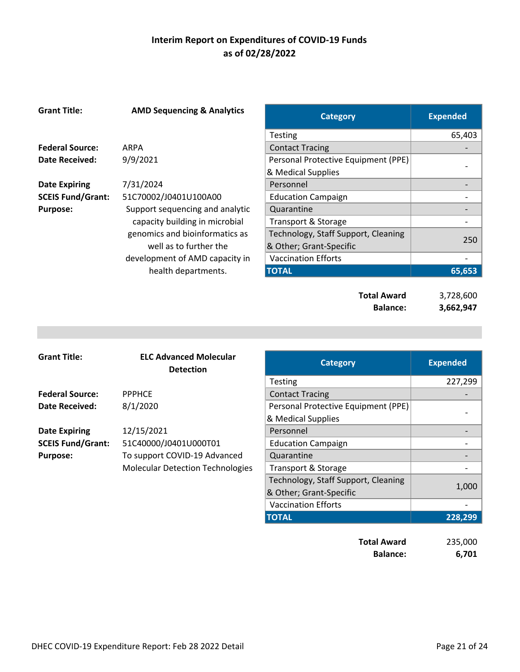| <b>Grant Title:</b>      | <b>AMD Sequencing &amp; Analytics</b> | <b>Category</b>                     | <b>Expended</b> |
|--------------------------|---------------------------------------|-------------------------------------|-----------------|
|                          |                                       | Testing                             | 65,403          |
| <b>Federal Source:</b>   | ARPA                                  | <b>Contact Tracing</b>              |                 |
| <b>Date Received:</b>    | 9/9/2021                              | Personal Protective Equipment (PPE) |                 |
|                          |                                       | & Medical Supplies                  |                 |
| <b>Date Expiring</b>     | 7/31/2024                             | Personnel                           |                 |
| <b>SCEIS Fund/Grant:</b> | 51C70002/J0401U100A00                 | <b>Education Campaign</b>           |                 |
| <b>Purpose:</b>          | Support sequencing and analytic       | Quarantine                          |                 |
|                          | capacity building in microbial        | Transport & Storage                 |                 |
|                          | genomics and bioinformatics as        | Technology, Staff Support, Cleaning | 250             |
|                          | well as to further the                | & Other; Grant-Specific             |                 |
|                          | development of AMD capacity in        | <b>Vaccination Efforts</b>          |                 |
|                          | health departments.                   | <b>TOTAL</b>                        | 65,653          |
|                          |                                       |                                     |                 |
|                          |                                       | <b>Total Award</b>                  | 3,728,600       |
|                          |                                       | <b>Balance:</b>                     | 3,662,947       |

| <b>Grant Title:</b>      | <b>ELC Advanced Molecular</b><br><b>Detection</b> | <b>Category</b>                     | <b>Expended</b> |
|--------------------------|---------------------------------------------------|-------------------------------------|-----------------|
|                          |                                                   | <b>Testing</b>                      | 227,299         |
| <b>Federal Source:</b>   | <b>PPPHCE</b>                                     | <b>Contact Tracing</b>              |                 |
| Date Received:           | 8/1/2020                                          | Personal Protective Equipment (PPE) |                 |
|                          |                                                   | & Medical Supplies                  |                 |
| <b>Date Expiring</b>     | 12/15/2021                                        | Personnel                           |                 |
| <b>SCEIS Fund/Grant:</b> | 51C40000/J0401U000T01                             | <b>Education Campaign</b>           |                 |
| <b>Purpose:</b>          | To support COVID-19 Advanced                      | Quarantine                          |                 |
|                          | <b>Molecular Detection Technologies</b>           | Transport & Storage                 |                 |
|                          |                                                   | Technology, Staff Support, Cleaning |                 |
|                          |                                                   | & Other; Grant-Specific             | 1,000           |
|                          |                                                   | <b>Vaccination Efforts</b>          |                 |
|                          |                                                   | <b>TOTAL</b>                        | 228,299         |

| <b>Total Award</b> | 235,000 |
|--------------------|---------|
| <b>Balance:</b>    | 6,701   |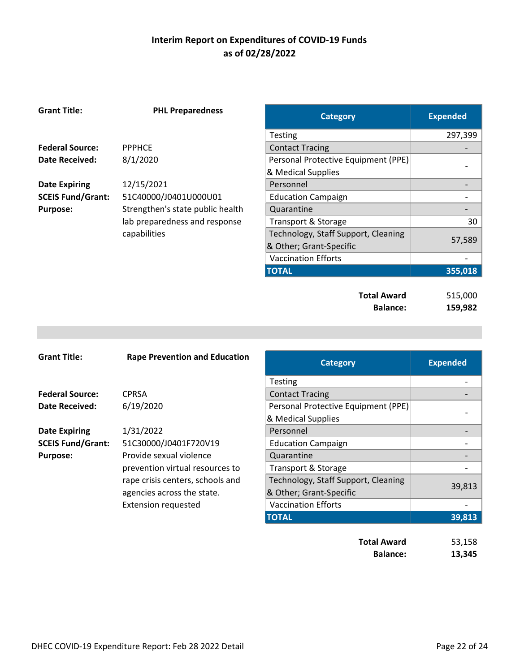| <b>Grant Title:</b>      | <b>PHL Preparedness</b>          | <b>Category</b>                       | <b>Expended</b>    |
|--------------------------|----------------------------------|---------------------------------------|--------------------|
|                          |                                  | <b>Testing</b>                        | 297,399            |
| <b>Federal Source:</b>   | <b>PPPHCE</b>                    | <b>Contact Tracing</b>                |                    |
| Date Received:           | 8/1/2020                         | Personal Protective Equipment (PPE)   |                    |
|                          |                                  | & Medical Supplies                    |                    |
| <b>Date Expiring</b>     | 12/15/2021                       | Personnel                             |                    |
| <b>SCEIS Fund/Grant:</b> | 51C40000/J0401U000U01            | <b>Education Campaign</b>             |                    |
| <b>Purpose:</b>          | Strengthen's state public health | Quarantine                            |                    |
|                          | lab preparedness and response    | Transport & Storage                   | 30                 |
|                          | capabilities                     | Technology, Staff Support, Cleaning   | 57,589             |
|                          |                                  | & Other; Grant-Specific               |                    |
|                          |                                  | <b>Vaccination Efforts</b>            |                    |
|                          |                                  | <b>TOTAL</b>                          | 355,018            |
|                          |                                  | <b>Total Award</b><br><b>Balance:</b> | 515,000<br>159,982 |

| <b>Grant Title:</b>      | <b>Rape Prevention and Education</b> | <b>Category</b>                     | <b>Expended</b> |
|--------------------------|--------------------------------------|-------------------------------------|-----------------|
|                          |                                      | Testing                             |                 |
| <b>Federal Source:</b>   | <b>CPRSA</b>                         | <b>Contact Tracing</b>              |                 |
| <b>Date Received:</b>    | 6/19/2020                            | Personal Protective Equipment (PPE) |                 |
|                          |                                      | & Medical Supplies                  |                 |
| <b>Date Expiring</b>     | 1/31/2022                            | Personnel                           |                 |
| <b>SCEIS Fund/Grant:</b> | 51C30000/J0401F720V19                | <b>Education Campaign</b>           |                 |
| <b>Purpose:</b>          | Provide sexual violence              | Quarantine                          |                 |
|                          | prevention virtual resources to      | Transport & Storage                 |                 |
|                          | rape crisis centers, schools and     | Technology, Staff Support, Cleaning |                 |
|                          | agencies across the state.           | & Other; Grant-Specific             | 39,813          |
|                          | <b>Extension requested</b>           | <b>Vaccination Efforts</b>          |                 |
|                          |                                      | <b>TOTAL</b>                        | 39,813          |
|                          |                                      | <b>Total Award</b>                  | 53,158          |

**Balance: 13,345**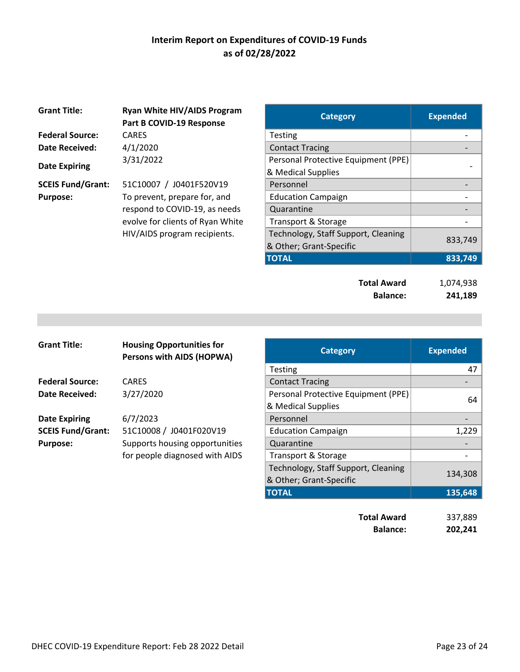| <b>Grant Title:</b>      | <b>Ryan White HIV/AIDS Program</b><br>Part B COVID-19 Response | <b>Category</b>                     | <b>Expended</b> |
|--------------------------|----------------------------------------------------------------|-------------------------------------|-----------------|
| <b>Federal Source:</b>   | <b>CARES</b>                                                   | Testing                             |                 |
| Date Received:           | 4/1/2020                                                       | <b>Contact Tracing</b>              |                 |
|                          | 3/31/2022                                                      | Personal Protective Equipment (PPE) |                 |
| <b>Date Expiring</b>     |                                                                | & Medical Supplies                  |                 |
| <b>SCEIS Fund/Grant:</b> | 51C10007 / J0401F520V19                                        | Personnel                           |                 |
| <b>Purpose:</b>          | To prevent, prepare for, and                                   | <b>Education Campaign</b>           |                 |
|                          | respond to COVID-19, as needs                                  | Quarantine                          |                 |
|                          | evolve for clients of Ryan White                               | Transport & Storage                 |                 |
|                          | HIV/AIDS program recipients.                                   | Technology, Staff Support, Cleaning |                 |
|                          |                                                                | 0 Othor: Cront Cnooific             | 833,7           |

| <b>Ryan White HIV/AIDS Program</b><br>Part B COVID-19 Response | <b>Category</b>                     | <b>Expended</b> |
|----------------------------------------------------------------|-------------------------------------|-----------------|
| CARES                                                          | <b>Testing</b>                      |                 |
| 4/1/2020                                                       | <b>Contact Tracing</b>              |                 |
| 3/31/2022                                                      | Personal Protective Equipment (PPE) |                 |
|                                                                | & Medical Supplies                  |                 |
| 51C10007 / J0401F520V19                                        | Personnel                           |                 |
| To prevent, prepare for, and                                   | <b>Education Campaign</b>           |                 |
| respond to COVID-19, as needs                                  | Quarantine                          |                 |
| evolve for clients of Ryan White                               | Transport & Storage                 |                 |
| HIV/AIDS program recipients.                                   | Technology, Staff Support, Cleaning | 833,749         |
|                                                                | & Other; Grant-Specific             |                 |
|                                                                | <b>TOTAL</b>                        | 833,749         |
|                                                                |                                     |                 |

| <b>Total Award</b> | 1,074,938 |
|--------------------|-----------|
| <b>Balance:</b>    | 241,189   |

| <b>Grant Title:</b>      | <b>Housing Opportunities for</b><br>Persons with AIDS (HOPWA) | <b>Category</b>                     |
|--------------------------|---------------------------------------------------------------|-------------------------------------|
|                          |                                                               | <b>Testing</b>                      |
| <b>Federal Source:</b>   | <b>CARES</b>                                                  | <b>Contact Tracing</b>              |
| Date Received:           | 3/27/2020                                                     | Personal Protective Equipment (PPE) |
|                          |                                                               | & Medical Supplies                  |
| <b>Date Expiring</b>     | 6/7/2023                                                      | Personnel                           |
| <b>SCEIS Fund/Grant:</b> | 51C10008 / J0401F020V19                                       | <b>Education Campaign</b>           |
| <b>Purpose:</b>          | Supports housing opportunities                                | Quarantine                          |
|                          | for people diagnosed with AIDS                                | Transport & Storage                 |
|                          |                                                               | Technology, Staff Support, Cleaning |
|                          |                                                               |                                     |

| <b>Grant Title:</b>      | <b>Housing Opportunities for</b><br>Persons with AIDS (HOPWA) | <b>Category</b>                     | <b>Expended</b> |
|--------------------------|---------------------------------------------------------------|-------------------------------------|-----------------|
|                          |                                                               | <b>Testing</b>                      | 47              |
| <b>Federal Source:</b>   | <b>CARES</b>                                                  | <b>Contact Tracing</b>              |                 |
| <b>Date Received:</b>    | 3/27/2020                                                     | Personal Protective Equipment (PPE) | 64              |
|                          |                                                               | & Medical Supplies                  |                 |
| <b>Date Expiring</b>     | 6/7/2023                                                      | Personnel                           |                 |
| <b>SCEIS Fund/Grant:</b> | 51C10008 / J0401F020V19                                       | <b>Education Campaign</b>           | 1,229           |
| <b>Purpose:</b>          | Supports housing opportunities                                | Quarantine                          |                 |
|                          | for people diagnosed with AIDS                                | Transport & Storage                 |                 |
|                          |                                                               | Technology, Staff Support, Cleaning |                 |
|                          |                                                               | & Other; Grant-Specific             | 134,308         |
|                          |                                                               | <b>TOTAL</b>                        | 135,648         |
|                          |                                                               |                                     |                 |
|                          |                                                               | <b>Total Award</b>                  | 337,889         |
|                          |                                                               | <b>Balance:</b>                     | 202,241         |